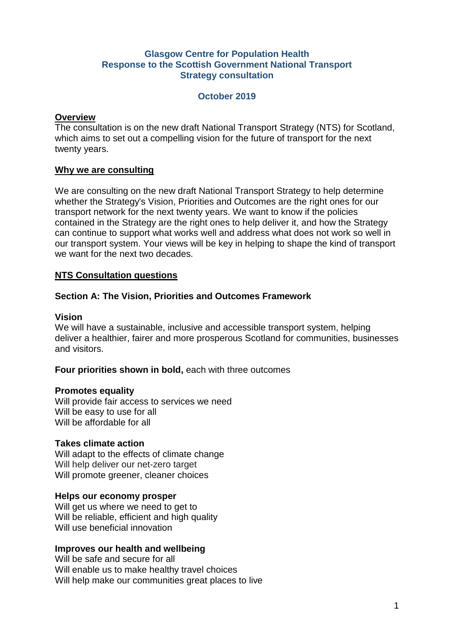# **Glasgow Centre for Population Health Response to the Scottish Government National Transport Strategy consultation**

### **October 2019**

#### **Overview**

The consultation is on the new draft National Transport Strategy (NTS) for Scotland, which aims to set out a compelling vision for the future of transport for the next twenty years.

### **Why we are consulting**

We are consulting on the new draft National Transport Strategy to help determine whether the Strategy's Vision, Priorities and Outcomes are the right ones for our transport network for the next twenty years. We want to know if the policies contained in the Strategy are the right ones to help deliver it, and how the Strategy can continue to support what works well and address what does not work so well in our transport system. Your views will be key in helping to shape the kind of transport we want for the next two decades.

### **NTS Consultation questions**

# **Section A: The Vision, Priorities and Outcomes Framework**

### **Vision**

We will have a sustainable, inclusive and accessible transport system, helping deliver a healthier, fairer and more prosperous Scotland for communities, businesses and visitors.

#### **Four priorities shown in bold, each with three outcomes**

#### **Promotes equality**

Will provide fair access to services we need Will be easy to use for all Will be affordable for all

#### **Takes climate action**

Will adapt to the effects of climate change Will help deliver our net-zero target Will promote greener, cleaner choices

#### **Helps our economy prosper**

Will get us where we need to get to Will be reliable, efficient and high quality Will use beneficial innovation

# **Improves our health and wellbeing**

Will be safe and secure for all Will enable us to make healthy travel choices Will help make our communities great places to live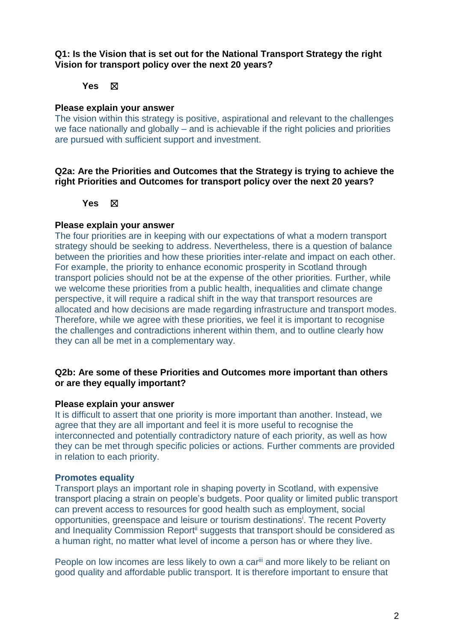**Q1: Is the Vision that is set out for the National Transport Strategy the right Vision for transport policy over the next 20 years?** 

# **Yes** ☒

#### **Please explain your answer**

The vision within this strategy is positive, aspirational and relevant to the challenges we face nationally and globally – and is achievable if the right policies and priorities are pursued with sufficient support and investment.

### **Q2a: Are the Priorities and Outcomes that the Strategy is trying to achieve the right Priorities and Outcomes for transport policy over the next 20 years?**

#### **Yes** ☒

#### **Please explain your answer**

The four priorities are in keeping with our expectations of what a modern transport strategy should be seeking to address. Nevertheless, there is a question of balance between the priorities and how these priorities inter-relate and impact on each other. For example, the priority to enhance economic prosperity in Scotland through transport policies should not be at the expense of the other priorities. Further, while we welcome these priorities from a public health, inequalities and climate change perspective, it will require a radical shift in the way that transport resources are allocated and how decisions are made regarding infrastructure and transport modes. Therefore, while we agree with these priorities, we feel it is important to recognise the challenges and contradictions inherent within them, and to outline clearly how they can all be met in a complementary way.

# **Q2b: Are some of these Priorities and Outcomes more important than others or are they equally important?**

#### **Please explain your answer**

It is difficult to assert that one priority is more important than another. Instead, we agree that they are all important and feel it is more useful to recognise the interconnected and potentially contradictory nature of each priority, as well as how they can be met through specific policies or actions. Further comments are provided in relation to each priority.

#### **Promotes equality**

<span id="page-1-0"></span>Transport plays an important role in shaping poverty in Scotland, with expensive transport placing a strain on people's budgets. Poor quality or limited public transport can prevent access to resources for good health such as employment, social opportunities, greenspace and leisure or tourism destinations<sup>i</sup>. The recent Poverty and Inequality Commission Report<sup>ii</sup> suggests that transport should be considered as a human right, no matter what level of income a person has or where they live.

People on low incomes are less likely to own a car<sup>iii</sup> and more likely to be reliant on good quality and affordable public transport. It is therefore important to ensure that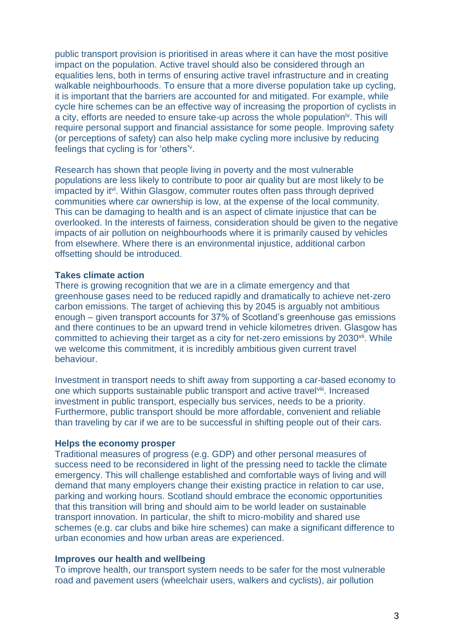public transport provision is prioritised in areas where it can have the most positive impact on the population. Active travel should also be considered through an equalities lens, both in terms of ensuring active travel infrastructure and in creating walkable neighbourhoods. To ensure that a more diverse population take up cycling, it is important that the barriers are accounted for and mitigated. For example, while cycle hire schemes can be an effective way of increasing the proportion of cyclists in a city, efforts are needed to ensure take-up across the whole population<sup>iv</sup>. This will require personal support and financial assistance for some people. Improving safety (or perceptions of safety) can also help make cycling more inclusive by reducing feelings that cycling is for 'others'<sup>v</sup> .

Research has shown that people living in poverty and the most vulnerable populations are less likely to contribute to poor air quality but are most likely to be impacted by it<sup>vi</sup>. Within Glasgow, commuter routes often pass through deprived communities where car ownership is low, at the expense of the local community. This can be damaging to health and is an aspect of climate injustice that can be overlooked. In the interests of fairness, consideration should be given to the negative impacts of air pollution on neighbourhoods where it is primarily caused by vehicles from elsewhere. Where there is an environmental injustice, additional carbon offsetting should be introduced.

#### **Takes climate action**

There is growing recognition that we are in a climate emergency and that greenhouse gases need to be reduced rapidly and dramatically to achieve net-zero carbon emissions. The target of achieving this by 2045 is arguably not ambitious enough – given transport accounts for 37% of Scotland's greenhouse gas emissions and there continues to be an upward trend in vehicle kilometres driven. Glasgow has committed to achieving their target as a city for net-zero emissions by 2030<sup>vii</sup>. While we welcome this commitment, it is incredibly ambitious given current travel behaviour.

Investment in transport needs to shift away from supporting a car-based economy to one which supports sustainable public transport and active travelviii. Increased investment in public transport, especially bus services, needs to be a priority. Furthermore, public transport should be more affordable, convenient and reliable than traveling by car if we are to be successful in shifting people out of their cars.

#### **Helps the economy prosper**

Traditional measures of progress (e.g. GDP) and other personal measures of success need to be reconsidered in light of the pressing need to tackle the climate emergency. This will challenge established and comfortable ways of living and will demand that many employers change their existing practice in relation to car use, parking and working hours. Scotland should embrace the economic opportunities that this transition will bring and should aim to be world leader on sustainable transport innovation. In particular, the shift to micro-mobility and shared use schemes (e.g. car clubs and bike hire schemes) can make a significant difference to urban economies and how urban areas are experienced.

#### **Improves our health and wellbeing**

To improve health, our transport system needs to be safer for the most vulnerable road and pavement users (wheelchair users, walkers and cyclists), air pollution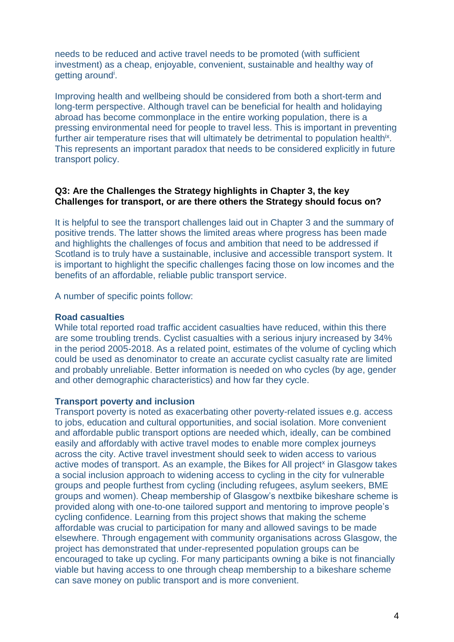needs to be reduced and active travel needs to be promoted (with sufficient investment) as a cheap, enjoyable, convenient, sustainable and healthy way of getting aroun[d](#page-1-0)<sup>i</sup>.

Improving health and wellbeing should be considered from both a short-term and long-term perspective. Although travel can be beneficial for health and holidaying abroad has become commonplace in the entire working population, there is a pressing environmental need for people to travel less. This is important in preventing further air temperature rises that will ultimately be detrimental to population healthix. This represents an important paradox that needs to be considered explicitly in future transport policy.

### **Q3: Are the Challenges the Strategy highlights in Chapter 3, the key Challenges for transport, or are there others the Strategy should focus on?**

It is helpful to see the transport challenges laid out in Chapter 3 and the summary of positive trends. The latter shows the limited areas where progress has been made and highlights the challenges of focus and ambition that need to be addressed if Scotland is to truly have a sustainable, inclusive and accessible transport system. It is important to highlight the specific challenges facing those on low incomes and the benefits of an affordable, reliable public transport service.

A number of specific points follow:

#### **Road casualties**

While total reported road traffic accident casualties have reduced, within this there are some troubling trends. Cyclist casualties with a serious injury increased by 34% in the period 2005-2018. As a related point, estimates of the volume of cycling which could be used as denominator to create an accurate cyclist casualty rate are limited and probably unreliable. Better information is needed on who cycles (by age, gender and other demographic characteristics) and how far they cycle.

#### **Transport poverty and inclusion**

Transport poverty is noted as exacerbating other poverty-related issues e.g. access to jobs, education and cultural opportunities, and social isolation. More convenient and affordable public transport options are needed which, ideally, can be combined easily and affordably with active travel modes to enable more complex journeys across the city. Active travel investment should seek to widen access to various active modes of transport. As an example, the Bikes for All project<sup>x</sup> in Glasgow takes a social inclusion approach to widening access to cycling in the city for vulnerable groups and people furthest from cycling (including refugees, asylum seekers, BME groups and women). Cheap membership of Glasgow's nextbike bikeshare scheme is provided along with one-to-one tailored support and mentoring to improve people's cycling confidence. Learning from this project shows that making the scheme affordable was crucial to participation for many and allowed savings to be made elsewhere. Through engagement with community organisations across Glasgow, the project has demonstrated that under-represented population groups can be encouraged to take up cycling. For many participants owning a bike is not financially viable but having access to one through cheap membership to a bikeshare scheme can save money on public transport and is more convenient.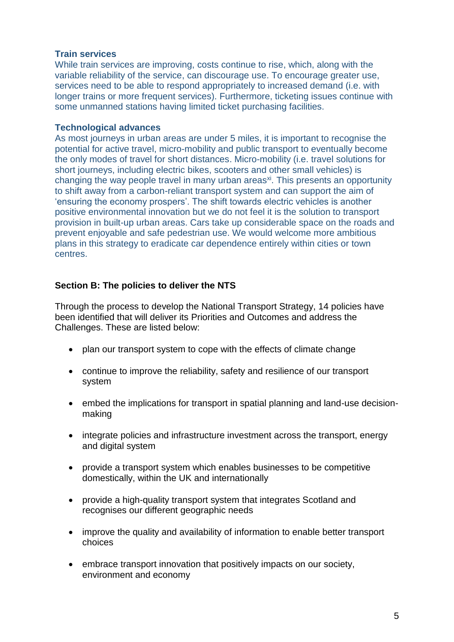# **Train services**

While train services are improving, costs continue to rise, which, along with the variable reliability of the service, can discourage use. To encourage greater use, services need to be able to respond appropriately to increased demand (i.e. with longer trains or more frequent services). Furthermore, ticketing issues continue with some unmanned stations having limited ticket purchasing facilities.

### **Technological advances**

As most journeys in urban areas are under 5 miles, it is important to recognise the potential for active travel, micro-mobility and public transport to eventually become the only modes of travel for short distances. Micro-mobility (i.e. travel solutions for short journeys, including electric bikes, scooters and other small vehicles) is changing the way people travel in many urban areas<sup>xi</sup>. This presents an opportunity to shift away from a carbon-reliant transport system and can support the aim of 'ensuring the economy prospers'. The shift towards electric vehicles is another positive environmental innovation but we do not feel it is the solution to transport provision in built-up urban areas. Cars take up considerable space on the roads and prevent enjoyable and safe pedestrian use. We would welcome more ambitious plans in this strategy to eradicate car dependence entirely within cities or town centres.

# **Section B: The policies to deliver the NTS**

Through the process to develop the National Transport Strategy, 14 policies have been identified that will deliver its Priorities and Outcomes and address the Challenges. These are listed below:

- plan our transport system to cope with the effects of climate change
- continue to improve the reliability, safety and resilience of our transport system
- embed the implications for transport in spatial planning and land-use decisionmaking
- integrate policies and infrastructure investment across the transport, energy and digital system
- provide a transport system which enables businesses to be competitive domestically, within the UK and internationally
- provide a high-quality transport system that integrates Scotland and recognises our different geographic needs
- improve the quality and availability of information to enable better transport choices
- embrace transport innovation that positively impacts on our society. environment and economy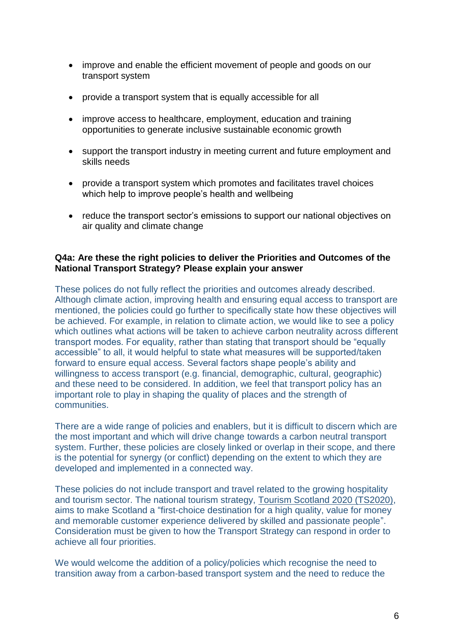- improve and enable the efficient movement of people and goods on our transport system
- provide a transport system that is equally accessible for all
- improve access to healthcare, employment, education and training opportunities to generate inclusive sustainable economic growth
- support the transport industry in meeting current and future employment and skills needs
- provide a transport system which promotes and facilitates travel choices which help to improve people's health and wellbeing
- reduce the transport sector's emissions to support our national objectives on air quality and climate change

# **Q4a: Are these the right policies to deliver the Priorities and Outcomes of the National Transport Strategy? Please explain your answer**

These polices do not fully reflect the priorities and outcomes already described. Although climate action, improving health and ensuring equal access to transport are mentioned, the policies could go further to specifically state how these objectives will be achieved. For example, in relation to climate action, we would like to see a policy which outlines what actions will be taken to achieve carbon neutrality across different transport modes. For equality, rather than stating that transport should be "equally accessible" to all, it would helpful to state what measures will be supported/taken forward to ensure equal access. Several factors shape people's ability and willingness to access transport (e.g. financial, demographic, cultural, geographic) and these need to be considered. In addition, we feel that transport policy has an important role to play in shaping the quality of places and the strength of communities.

There are a wide range of policies and enablers, but it is difficult to discern which are the most important and which will drive change towards a carbon neutral transport system. Further, these policies are closely linked or overlap in their scope, and there is the potential for synergy (or conflict) depending on the extent to which they are developed and implemented in a connected way.

These policies do not include transport and travel related to the growing hospitality and tourism sector. The national tourism strategy, [Tourism Scotland 2020 \(TS2020\)](http://scottishtourismalliance.co.uk/page/national-strategy/), aims to make Scotland a "first-choice destination for a high quality, value for money and memorable customer experience delivered by skilled and passionate people". Consideration must be given to how the Transport Strategy can respond in order to achieve all four priorities.

We would welcome the addition of a policy/policies which recognise the need to transition away from a carbon-based transport system and the need to reduce the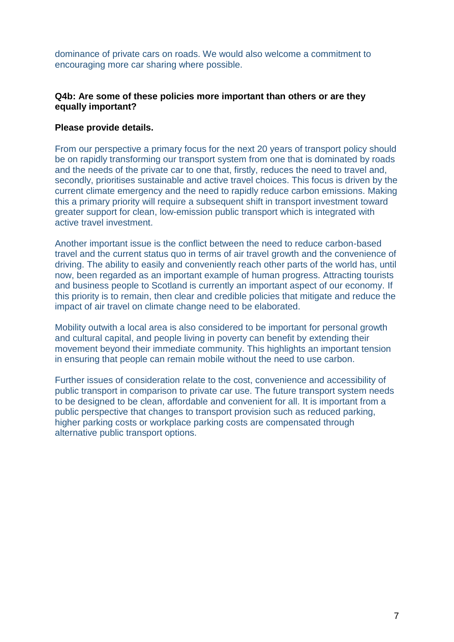dominance of private cars on roads. We would also welcome a commitment to encouraging more car sharing where possible.

## **Q4b: Are some of these policies more important than others or are they equally important?**

### **Please provide details.**

From our perspective a primary focus for the next 20 years of transport policy should be on rapidly transforming our transport system from one that is dominated by roads and the needs of the private car to one that, firstly, reduces the need to travel and, secondly, prioritises sustainable and active travel choices. This focus is driven by the current climate emergency and the need to rapidly reduce carbon emissions. Making this a primary priority will require a subsequent shift in transport investment toward greater support for clean, low-emission public transport which is integrated with active travel investment.

Another important issue is the conflict between the need to reduce carbon-based travel and the current status quo in terms of air travel growth and the convenience of driving. The ability to easily and conveniently reach other parts of the world has, until now, been regarded as an important example of human progress. Attracting tourists and business people to Scotland is currently an important aspect of our economy. If this priority is to remain, then clear and credible policies that mitigate and reduce the impact of air travel on climate change need to be elaborated.

Mobility outwith a local area is also considered to be important for personal growth and cultural capital, and people living in poverty can benefit by extending their movement beyond their immediate community. This highlights an important tension in ensuring that people can remain mobile without the need to use carbon.

Further issues of consideration relate to the cost, convenience and accessibility of public transport in comparison to private car use. The future transport system needs to be designed to be clean, affordable and convenient for all. It is important from a public perspective that changes to transport provision such as reduced parking, higher parking costs or workplace parking costs are compensated through alternative public transport options.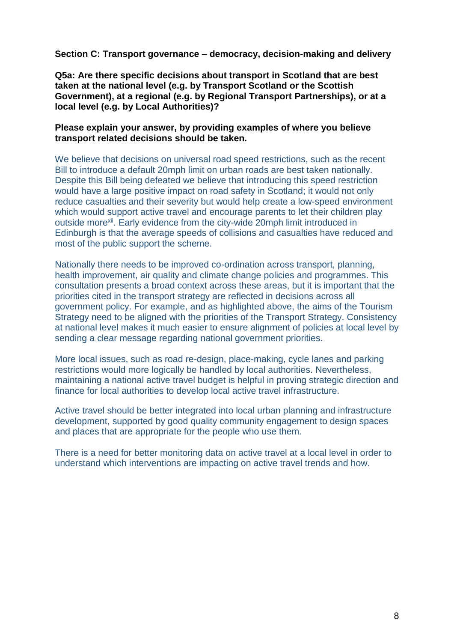**Section C: Transport governance – democracy, decision-making and delivery**

**Q5a: Are there specific decisions about transport in Scotland that are best taken at the national level (e.g. by Transport Scotland or the Scottish Government), at a regional (e.g. by Regional Transport Partnerships), or at a local level (e.g. by Local Authorities)?**

## **Please explain your answer, by providing examples of where you believe transport related decisions should be taken.**

We believe that decisions on universal road speed restrictions, such as the recent Bill to introduce a default 20mph limit on urban roads are best taken nationally. Despite this Bill being defeated we believe that introducing this speed restriction would have a large positive impact on road safety in Scotland; it would not only reduce casualties and their severity but would help create a low-speed environment which would support active travel and encourage parents to let their children play outside more<sup>xii</sup>. Early evidence from the city-wide 20mph limit introduced in Edinburgh is that the average speeds of collisions and casualties have reduced and most of the public support the scheme.

Nationally there needs to be improved co-ordination across transport, planning, health improvement, air quality and climate change policies and programmes. This consultation presents a broad context across these areas, but it is important that the priorities cited in the transport strategy are reflected in decisions across all government policy. For example, and as highlighted above, the aims of the Tourism Strategy need to be aligned with the priorities of the Transport Strategy. Consistency at national level makes it much easier to ensure alignment of policies at local level by sending a clear message regarding national government priorities.

More local issues, such as road re-design, place-making, cycle lanes and parking restrictions would more logically be handled by local authorities. Nevertheless, maintaining a national active travel budget is helpful in proving strategic direction and finance for local authorities to develop local active travel infrastructure.

Active travel should be better integrated into local urban planning and infrastructure development, supported by good quality community engagement to design spaces and places that are appropriate for the people who use them.

There is a need for better monitoring data on active travel at a local level in order to understand which interventions are impacting on active travel trends and how.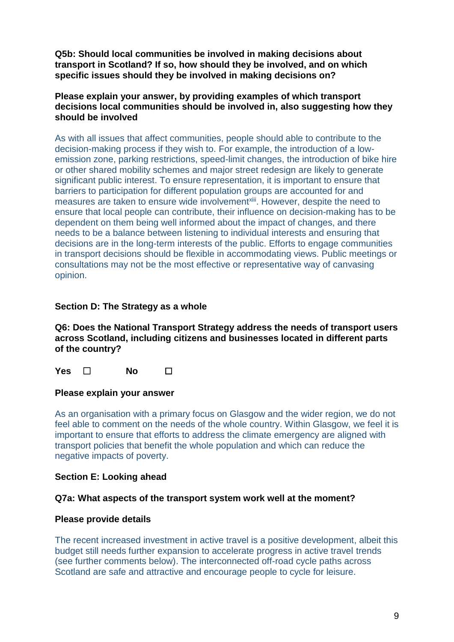**Q5b: Should local communities be involved in making decisions about transport in Scotland? If so, how should they be involved, and on which specific issues should they be involved in making decisions on?**

# **Please explain your answer, by providing examples of which transport decisions local communities should be involved in, also suggesting how they should be involved**

As with all issues that affect communities, people should able to contribute to the decision-making process if they wish to. For example, the introduction of a lowemission zone, parking restrictions, speed-limit changes, the introduction of bike hire or other shared mobility schemes and major street redesign are likely to generate significant public interest. To ensure representation, it is important to ensure that barriers to participation for different population groups are accounted for and measures are taken to ensure wide involvement<sup>xiii</sup>. However, despite the need to ensure that local people can contribute, their influence on decision-making has to be dependent on them being well informed about the impact of changes, and there needs to be a balance between listening to individual interests and ensuring that decisions are in the long-term interests of the public. Efforts to engage communities in transport decisions should be flexible in accommodating views. Public meetings or consultations may not be the most effective or representative way of canvasing opinion.

# **Section D: The Strategy as a whole**

**Q6: Does the National Transport Strategy address the needs of transport users across Scotland, including citizens and businesses located in different parts of the country?**

**Yes** ☐ **No** ☐

# **Please explain your answer**

As an organisation with a primary focus on Glasgow and the wider region, we do not feel able to comment on the needs of the whole country. Within Glasgow, we feel it is important to ensure that efforts to address the climate emergency are aligned with transport policies that benefit the whole population and which can reduce the negative impacts of poverty.

# **Section E: Looking ahead**

# **Q7a: What aspects of the transport system work well at the moment?**

# **Please provide details**

The recent increased investment in active travel is a positive development, albeit this budget still needs further expansion to accelerate progress in active travel trends (see further comments below). The interconnected off-road cycle paths across Scotland are safe and attractive and encourage people to cycle for leisure.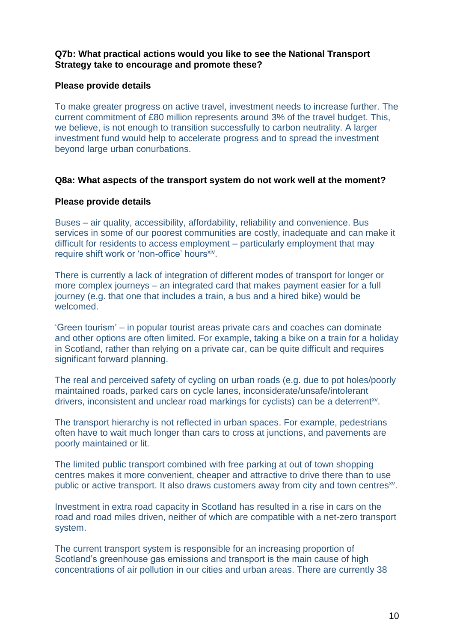# **Q7b: What practical actions would you like to see the National Transport Strategy take to encourage and promote these?**

## **Please provide details**

To make greater progress on active travel, investment needs to increase further. The current commitment of £80 million represents around 3% of the travel budget. This, we believe, is not enough to transition successfully to carbon neutrality. A larger investment fund would help to accelerate progress and to spread the investment beyond large urban conurbations.

### **Q8a: What aspects of the transport system do not work well at the moment?**

### **Please provide details**

Buses – air quality, accessibility, affordability, reliability and convenience. Bus services in some of our poorest communities are costly, inadequate and can make it difficult for residents to access employment – particularly employment that may require shift work or 'non-office' hoursxiv.

There is currently a lack of integration of different modes of transport for longer or more complex journeys – an integrated card that makes payment easier for a full journey (e.g. that one that includes a train, a bus and a hired bike) would be welcomed.

'Green tourism' – in popular tourist areas private cars and coaches can dominate and other options are often limited. For example, taking a bike on a train for a holiday in Scotland, rather than relying on a private car, can be quite difficult and requires significant forward planning.

<span id="page-9-0"></span>The real and perceived safety of cycling on urban roads (e.g. due to pot holes/poorly maintained roads, parked cars on cycle lanes, inconsiderate/unsafe/intolerant drivers, inconsistent and unclear road markings for cyclists) can be a deterrent<sup>xv</sup>.

The transport hierarchy is not reflected in urban spaces. For example, pedestrians often have to wait much longer than cars to cross at junctions, and pavements are poorly maintained or lit.

The limited public transport combined with free parking at out of town shopping centres makes it more convenient, cheaper and attractive to drive there than to use public or active transport. It also draws customers away from city and town centres<sup>[xv](#page-9-0)</sup>.

Investment in extra road capacity in Scotland has resulted in a rise in cars on the road and road miles driven, neither of which are compatible with a net-zero transport system.

The current transport system is responsible for an increasing proportion of Scotland's greenhouse gas emissions and transport is the main cause of high concentrations of air pollution in our cities and urban areas. There are currently 38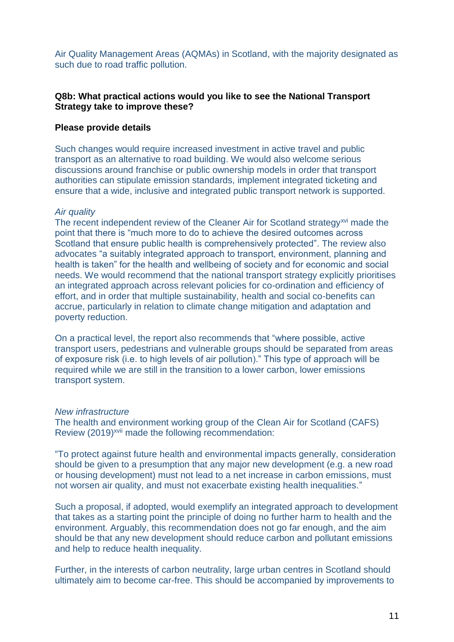Air Quality Management Areas (AQMAs) in Scotland, with the majority designated as such due to road traffic pollution.

# **Q8b: What practical actions would you like to see the National Transport Strategy take to improve these?**

### **Please provide details**

Such changes would require increased investment in active travel and public transport as an alternative to road building. We would also welcome serious discussions around franchise or public ownership models in order that transport authorities can stipulate emission standards, implement integrated ticketing and ensure that a wide, inclusive and integrated public transport network is supported.

#### *Air quality*

The recent independent review of the Cleaner Air for Scotland strategy<sup>xvi</sup> made the point that there is "much more to do to achieve the desired outcomes across Scotland that ensure public health is comprehensively protected". The review also advocates "a suitably integrated approach to transport, environment, planning and health is taken" for the health and wellbeing of society and for economic and social needs. We would recommend that the national transport strategy explicitly prioritises an integrated approach across relevant policies for co-ordination and efficiency of effort, and in order that multiple sustainability, health and social co-benefits can accrue, particularly in relation to climate change mitigation and adaptation and poverty reduction.

On a practical level, the report also recommends that "where possible, active transport users, pedestrians and vulnerable groups should be separated from areas of exposure risk (i.e. to high levels of air pollution)." This type of approach will be required while we are still in the transition to a lower carbon, lower emissions transport system.

#### *New infrastructure*

The health and environment working group of the Clean Air for Scotland (CAFS) Review (2019)<sup>xvii</sup> made the following recommendation:

"To protect against future health and environmental impacts generally, consideration should be given to a presumption that any major new development (e.g. a new road or housing development) must not lead to a net increase in carbon emissions, must not worsen air quality, and must not exacerbate existing health inequalities."

Such a proposal, if adopted, would exemplify an integrated approach to development that takes as a starting point the principle of doing no further harm to health and the environment. Arguably, this recommendation does not go far enough, and the aim should be that any new development should reduce carbon and pollutant emissions and help to reduce health inequality.

Further, in the interests of carbon neutrality, large urban centres in Scotland should ultimately aim to become car-free. This should be accompanied by improvements to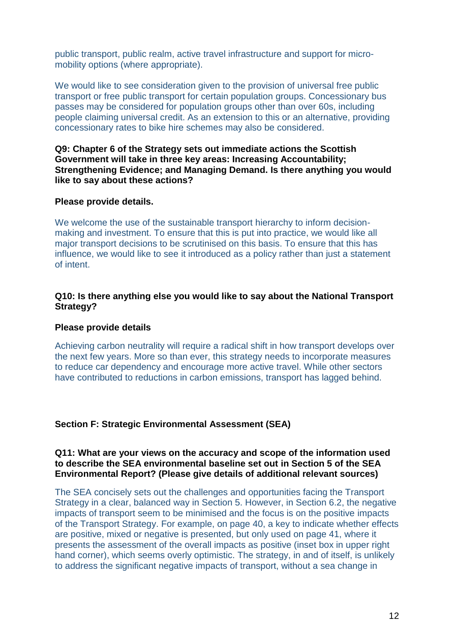public transport, public realm, active travel infrastructure and support for micromobility options (where appropriate).

We would like to see consideration given to the provision of universal free public transport or free public transport for certain population groups. Concessionary bus passes may be considered for population groups other than over 60s, including people claiming universal credit. As an extension to this or an alternative, providing concessionary rates to bike hire schemes may also be considered.

**Q9: Chapter 6 of the Strategy sets out immediate actions the Scottish Government will take in three key areas: Increasing Accountability; Strengthening Evidence; and Managing Demand. Is there anything you would like to say about these actions?** 

### **Please provide details.**

We welcome the use of the sustainable transport hierarchy to inform decisionmaking and investment. To ensure that this is put into practice, we would like all major transport decisions to be scrutinised on this basis. To ensure that this has influence, we would like to see it introduced as a policy rather than just a statement of intent.

# **Q10: Is there anything else you would like to say about the National Transport Strategy?**

#### **Please provide details**

Achieving carbon neutrality will require a radical shift in how transport develops over the next few years. More so than ever, this strategy needs to incorporate measures to reduce car dependency and encourage more active travel. While other sectors have contributed to reductions in carbon emissions, transport has lagged behind.

# **Section F: Strategic Environmental Assessment (SEA)**

## **Q11: What are your views on the accuracy and scope of the information used to describe the SEA environmental baseline set out in Section 5 of the SEA Environmental Report? (Please give details of additional relevant sources)**

The SEA concisely sets out the challenges and opportunities facing the Transport Strategy in a clear, balanced way in Section 5. However, in Section 6.2, the negative impacts of transport seem to be minimised and the focus is on the positive impacts of the Transport Strategy. For example, on page 40, a key to indicate whether effects are positive, mixed or negative is presented, but only used on page 41, where it presents the assessment of the overall impacts as positive (inset box in upper right hand corner), which seems overly optimistic. The strategy, in and of itself, is unlikely to address the significant negative impacts of transport, without a sea change in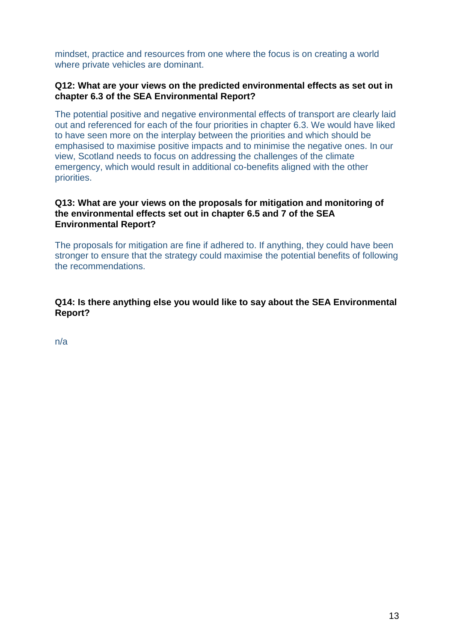mindset, practice and resources from one where the focus is on creating a world where private vehicles are dominant.

# **Q12: What are your views on the predicted environmental effects as set out in chapter 6.3 of the SEA Environmental Report?**

The potential positive and negative environmental effects of transport are clearly laid out and referenced for each of the four priorities in chapter 6.3. We would have liked to have seen more on the interplay between the priorities and which should be emphasised to maximise positive impacts and to minimise the negative ones. In our view, Scotland needs to focus on addressing the challenges of the climate emergency, which would result in additional co-benefits aligned with the other priorities.

# **Q13: What are your views on the proposals for mitigation and monitoring of the environmental effects set out in chapter 6.5 and 7 of the SEA Environmental Report?**

The proposals for mitigation are fine if adhered to. If anything, they could have been stronger to ensure that the strategy could maximise the potential benefits of following the recommendations.

**Q14: Is there anything else you would like to say about the SEA Environmental Report?**

n/a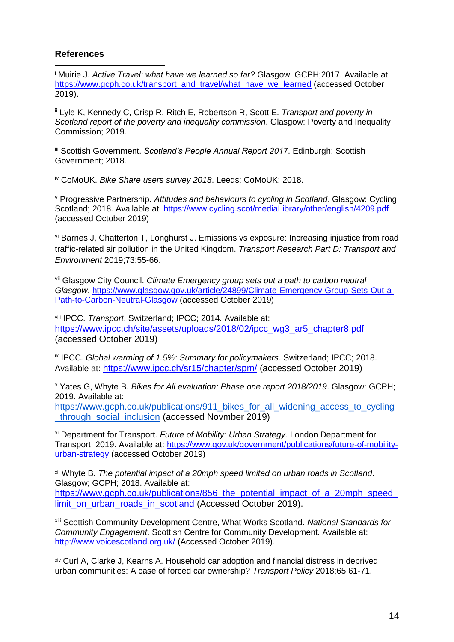# **References**

<sup>i</sup> Muirie J. *Active Travel: what have we learned so far?* Glasgow; GCPH;2017. Available at: [https://www.gcph.co.uk/transport\\_and\\_travel/what\\_have\\_we\\_learned](https://www.gcph.co.uk/transport_and_travel/what_have_we_learned) (accessed October 2019). 1

ii Lyle K, Kennedy C, Crisp R, Ritch E, Robertson R, Scott E. *Transport and poverty in Scotland report of the poverty and inequality commission*. Glasgow: Poverty and Inequality Commission; 2019.

iii Scottish Government. *Scotland's People Annual Report 2017*. Edinburgh: Scottish Government; 2018.

iv CoMoUK. *Bike Share users survey 2018*. Leeds: CoMoUK; 2018.

<sup>v</sup> Progressive Partnership. *Attitudes and behaviours to cycling in Scotland*. Glasgow: Cycling Scotland; 2018. Available at:<https://www.cycling.scot/mediaLibrary/other/english/4209.pdf> (accessed October 2019)

vi Barnes J, Chatterton T, Longhurst J. Emissions vs exposure: Increasing injustice from road traffic-related air pollution in the United Kingdom. *Transport Research Part D: Transport and Environment* 2019;73:55-66.

vii Glasgow City Council. *Climate Emergency group sets out a path to carbon neutral Glasgow*. [https://www.glasgow.gov.uk/article/24899/Climate-Emergency-Group-Sets-Out-a-](https://www.glasgow.gov.uk/article/24899/Climate-Emergency-Group-Sets-Out-a-Path-to-Carbon-Neutral-Glasgow)[Path-to-Carbon-Neutral-Glasgow](https://www.glasgow.gov.uk/article/24899/Climate-Emergency-Group-Sets-Out-a-Path-to-Carbon-Neutral-Glasgow) (accessed October 2019)

viii IPCC. *Transport*. Switzerland; IPCC; 2014. Available at: [https://www.ipcc.ch/site/assets/uploads/2018/02/ipcc\\_wg3\\_ar5\\_chapter8.pdf](https://www.ipcc.ch/site/assets/uploads/2018/02/ipcc_wg3_ar5_chapter8.pdf) (accessed October 2019)

ix IPCC*. Global warming of 1.5%: Summary for policymakers*. Switzerland; IPCC; 2018. Available at: <https://www.ipcc.ch/sr15/chapter/spm/> (accessed October 2019)

<sup>x</sup> Yates G, Whyte B. *Bikes for All evaluation: Phase one report 2018/2019*. Glasgow: GCPH; 2019. Available at:

https://www.gcph.co.uk/publications/911 bikes for all widening access to cycling through social inclusion (accessed Novmber 2019)

xi Department for Transport. *Future of Mobility: Urban Strategy*. London Department for Transport; 2019. Available at: [https://www.gov.uk/government/publications/future-of-mobility](https://www.gov.uk/government/publications/future-of-mobility-urban-strategy)[urban-strategy](https://www.gov.uk/government/publications/future-of-mobility-urban-strategy) (accessed October 2019)

xii Whyte B. *The potential impact of a 20mph speed limited on urban roads in Scotland*. Glasgow; GCPH; 2018. Available at: https://www.gcph.co.uk/publications/856 the potential impact of a 20mph speed [limit\\_on\\_urban\\_roads\\_in\\_scotland](https://www.gcph.co.uk/publications/856_the_potential_impact_of_a_20mph_speed_limit_on_urban_roads_in_scotland) (Accessed October 2019).

xiii Scottish Community Development Centre, What Works Scotland. *National Standards for Community Engagement*. Scottish Centre for Community Development. Available at: <http://www.voicescotland.org.uk/> (Accessed October 2019).

xiv Curl A, Clarke J, Kearns A. Household car adoption and financial distress in deprived urban communities: A case of forced car ownership? *Transport Policy* 2018;65:61-71.